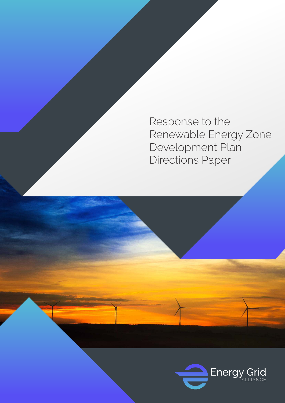Response to the Renewable Energy Zone Development Plan Directions Paper

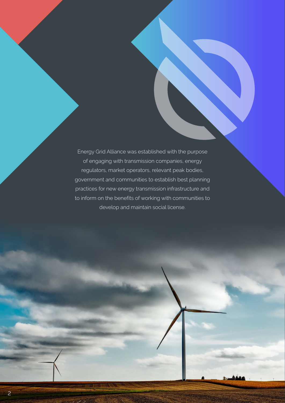Energy Grid Alliance was established with the purpose of engaging with transmission companies, energy regulators, market operators, relevant peak bodies, government and communities to establish best planning practices for new energy transmission infrastructure and to inform on the benefits of working with communities to develop and maintain social license.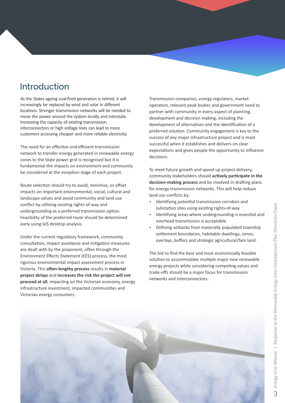## Introduction

As the States ageing coal-fired generation is retired, it will increasingly be replaced by wind and solar in different locations. Stronger transmission networks will be needed to move the power around the system locally and interstate. Increasing the capacity of existing transmission interconnectors or high voltage lines can lead to more customers accessing cheaper and more reliable electricity.

The need for an effective and efficient transmission network to transfer energy generated in renewable energy zones to the State power grid is recognised but it is fundamental the impacts on environment and community be considered at the inception stage of each project.

Route selection should try to avoid, minimise, or offset impacts on important environmental, social, cultural and landscape values and avoid community and land use conflict by utilising existing rights-of-way and undergrounding as a preferred transmission option. Feasibility of the preferred route should be determined early using GIS desktop analysis.

Under the current regulatory framework, community consultation, impact avoidance and mitigation measures are dealt with by the proponent, often through the Environment Effects Statement (EES) process, the most rigorous environmental impact assessment process in Victoria. This often-lengthy process results in material **project delays** and **increases the risk the project will not proceed at all**, impacting on the Victorian economy, energy infrastructure investment, impacted communities and Victorian energy consumers.

Transmission companies, energy regulators, market operators, relevant peak bodies and government need to partner with community in every aspect of planning, development and decision making, including the development of alternatives and the identification of a preferred solution. Community engagement is key to the success of any major infrastructure project and is most successful when it establishes and delivers on clear expectations and gives people the opportunity to influence decisions.

To meet future growth and speed up project delivery, community stakeholders should **actively participate in the** decision-making process and be involved in drafting plans for energy transmission networks. This will help reduce land use conflicts by:

- Identifying potential transmission corridors and substation sites using existing rights-of-way
- Identifying areas where undergrounding is essential and overhead transmission is acceptable
- Defining setbacks from materially populated township settlement boundaries, habitable dwellings, zones, overlays, buffers and strategic agricultural/fam land.

The bid to find the best and most economically feasible solution to accommodate multiple major new renewable energy projects while considering competing values and trade-offs should be a major focus for transmission networks and interconnectors.

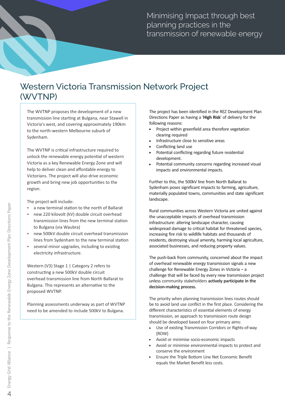Minimising Impact through best planning practices in the transmission of renewable energy

## Western Victoria Transmission Network Project (WVTNP)

The WVTNP proposes the development of a new transmission line starting at Bulgana, near Stawell in Victoria's west, and covering approximately 190km to the north-western Melbourne suburb of Sydenham.

The WVTNP is critical infrastructure required to unlock the renewable energy potential of western Victoria as a key Renewable Energy Zone and will help to deliver clean and affordable energy to Victorians. The project will also drive economic growth and bring new job opportunities to the region.

The project will include:

- a new terminal station to the north of Ballarat
- new 220 kilovolt (kV) double circuit overhead transmission lines from the new terminal station to Bulgana (via Waubra)
- new 500kV double circuit overhead transmission lines from Sydenham to the new terminal station
- several minor upgrades, including to existing electricity infrastructure.

Western (V3) Stage 1 | Category 2 refers to constructing a new 500kV double circuit overhead transmission line from North Ballarat to Bulgana. This represents an alternative to the proposed WVTNP.

Planning assessments underway as part of WVTNP need to be amended to include 500kV to Bulgana.

The project has been identified in the REZ Development Plan Directions Paper as having a '**High Risk**' of delivery for the following reasons:

- . Project within greenfield area therefore vegetation clearing required
- Infrastructure close to sensitive areas
- Conflicting land use
- Potential conflicting regarding future residential development.
- Potential community concerns regarding increased visual impacts and environmental impacts.

Further to this, the 500kV line from North Ballarat to Sydenham poses significant impacts to farming, agriculture, materially populated towns, communities and state significant landscape.

Rural communities across Western Victoria are united against the unacceptable impacts of overhead transmission infrastructure: altering landscape character, causing widespread damage to critical habitat for threatened species, increasing fire risk to wildlife habitats and thousands of residents, destroying visual amenity, harming local agriculture, associated businesses, and reducing property values.

The push-back from community, concerned about the impact of overhead renewable energy transmission signals a new challenge for Renewable Energy Zones in Victoria – a challenge that will be faced by every new transmission project unless community stakeholders **actively participate in the decision-making process.**

The priority when planning transmission lines routes should be to avoid land use conflict in the first place. Considering the different characteristics of essential elements of energy transmission, an approach to transmission route design should be developed based on four primary aims:

- ! Use of existing Transmission Corridors or Rights-of-way (ROW)
- Avoid or minimise socio-economic impacts
- ! Avoid or minimise environmental impacts to protect and conserve the environment
- ! Ensure the Triple Bottom Line Net Economic Benefit equals the Market Benefit less costs.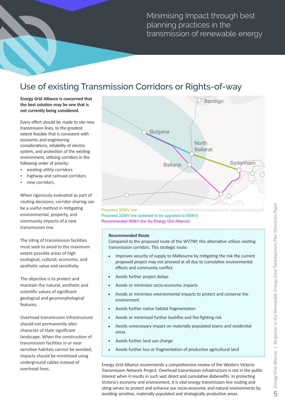Minimising Impact through best planning practices in the transmission of renewable energy

## Use of existing Transmission Corridors or Rights-of-way

**Energy Grid Alliance is concerned that**  the best solution may be one that is **not currently being considered.**

Every effort should be made to site new transmission lines, to the greatest extent feasible that is consistent with economic and engineering considerations, reliability of electric system, and protection of the existing environment, utilising corridors in the following order of priority:

- existing utility corridors
- highway and railroad corridors
- new corridors.

When rigorously evaluated as part of routing decisions, corridor sharing can be a useful method in mitigating environmental, property, and community impacts of a new transmission line.

The siting of transmission facilities must seek to avoid to the maximum extent possible areas of high ecological, cultural, economic, and aesthetic value and sensitivity.

The objective is to protect and maintain the natural, aesthetic and scientific values of significant geological and geomorphological features.

Overhead transmission infrastructure should not permanently alter character of state significant landscape. When the construction of transmission facilities in or near sensitive habitats cannot be avoided. impacts should be minimised using underground cables instead of overhead lines.



Proposed 500kV line Proposed 220kV line (potential to be upgraded to 500kV) Recommended 500kV line (by Energy Grid Alliance) *Image Source: DELWP REZ Development Plan Directions Paper pp25.*

## **Recommended Route**

Compared to the proposed route of the WVTNP, this alternative utilises existing transmission corridors. This strategic route:

- . Improves security of supply to Melbourne by mitigating the risk the current proposed project may not proceed at all due to cumulative environmental effects and community conflict.
- Avoids further project delays
- ! Avoids or minimises socio-economic impacts
- Avoids or minimises environmental impacts to protect and conserve the environment
- Avoids further native habitat fragmentation
- Avoids or minimised further bushfire and fire-fighting risk
- Avoids unnecessary impact on materially populated towns and residential areas
- Avoids further land use change
- Avoids further loss or fragmentation of productive agricultural land

Energy Grid Alliance recommends a comprehensive review of the Western Victoria Transmission Network Project. Overhead transmission infrastructure is not in the public interest when it results in such vast direct and cumulative disbenefits. In protecting Victoria's economy and environment, it is vital energy transmission line routing and sing serves to protect and enhance our socio-economic and natural environments by avoiding sensitive, materially populated and strategically productive areas. 5